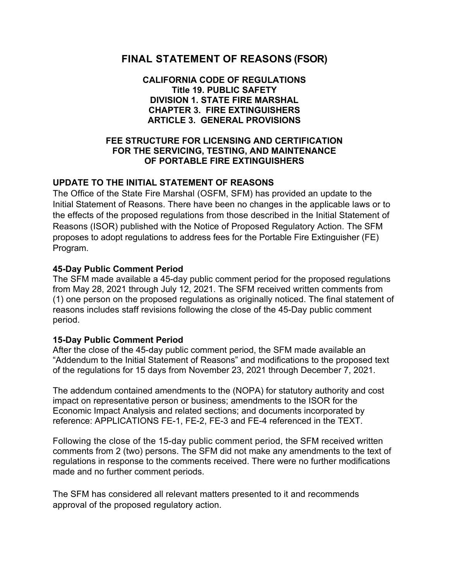# **FINAL STATEMENT OF REASONS (FSOR)**

#### **CALIFORNIA CODE OF REGULATIONS Title 19. PUBLIC SAFETY DIVISION 1. STATE FIRE MARSHAL CHAPTER 3. FIRE EXTINGUISHERS ARTICLE 3. GENERAL PROVISIONS**

### **FEE STRUCTURE FOR LICENSING AND CERTIFICATION FOR THE SERVICING, TESTING, AND MAINTENANCE OF PORTABLE FIRE EXTINGUISHERS**

### **UPDATE TO THE INITIAL STATEMENT OF REASONS**

 Reasons (ISOR) published with the Notice of Proposed Regulatory Action. The SFM The Office of the State Fire Marshal (OSFM, SFM) has provided an update to the Initial Statement of Reasons. There have been no changes in the applicable laws or to the effects of the proposed regulations from those described in the Initial Statement of proposes to adopt regulations to address fees for the Portable Fire Extinguisher (FE) Program.

#### **45-Day Public Comment Period**

The SFM made available a 45-day public comment period for the proposed regulations from May 28, 2021 through July 12, 2021. The SFM received written comments from (1) one person on the proposed regulations as originally noticed. The final statement of reasons includes staff revisions following the close of the 45-Day public comment period.

#### **15-Day Public Comment Period**

After the close of the 45-day public comment period, the SFM made available an "Addendum to the Initial Statement of Reasons" and modifications to the proposed text of the regulations for 15 days from November 23, 2021 through December 7, 2021.

The addendum contained amendments to the (NOPA) for statutory authority and cost impact on representative person or business; amendments to the ISOR for the Economic Impact Analysis and related sections; and documents incorporated by reference: APPLICATIONS FE-1, FE-2, FE-3 and FE-4 referenced in the TEXT.

 Following the close of the 15-day public comment period, the SFM received written comments from 2 (two) persons. The SFM did not make any amendments to the text of regulations in response to the comments received. There were no further modifications made and no further comment periods.

The SFM has considered all relevant matters presented to it and recommends approval of the proposed regulatory action.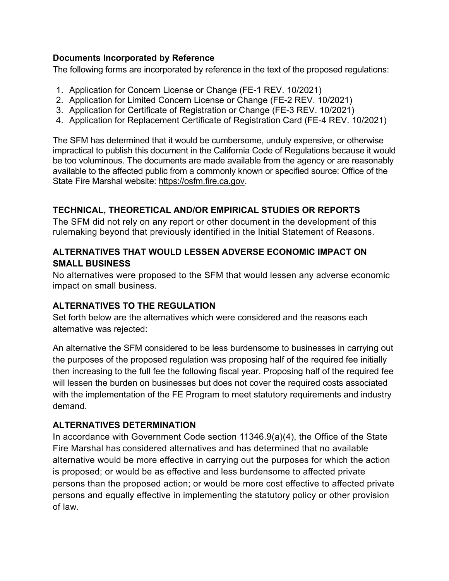## **Documents Incorporated by Reference**

The following forms are incorporated by reference in the text of the proposed regulations:

- 1. Application for Concern License or Change (FE-1 REV. 10/2021)
- 2. Application for Limited Concern License or Change (FE-2 REV. 10/2021)
- 3. Application for Certificate of Registration or Change (FE-3 REV. 10/2021)
- 4. Application for Replacement Certificate of Registration Card (FE-4 REV. 10/2021)

The SFM has determined that it would be cumbersome, unduly expensive, or otherwise impractical to publish this document in the California Code of Regulations because it would be too voluminous. The documents are made available from the agency or are reasonably available to the affected public from a commonly known or specified source: Office of the State Fire Marshal website: https://osfm.fire.ca.gov.

## **TECHNICAL, THEORETICAL AND/OR EMPIRICAL STUDIES OR REPORTS**

The SFM did not rely on any report or other document in the development of this rulemaking beyond that previously identified in the Initial Statement of Reasons.

## **ALTERNATIVES THAT WOULD LESSEN ADVERSE ECONOMIC IMPACT ON SMALL BUSINESS**

No alternatives were proposed to the SFM that would lessen any adverse economic impact on small business.

## **ALTERNATIVES TO THE REGULATION**

Set forth below are the alternatives which were considered and the reasons each alternative was rejected:

An alternative the SFM considered to be less burdensome to businesses in carrying out the purposes of the proposed regulation was proposing half of the required fee initially then increasing to the full fee the following fiscal year. Proposing half of the required fee will lessen the burden on businesses but does not cover the required costs associated with the implementation of the FE Program to meet statutory requirements and industry demand.

## **ALTERNATIVES DETERMINATION**

In accordance with Government Code section 11346.9(a)(4), the Office of the State Fire Marshal has considered alternatives and has determined that no available alternative would be more effective in carrying out the purposes for which the action is proposed; or would be as effective and less burdensome to affected private persons than the proposed action; or would be more cost effective to affected private persons and equally effective in implementing the statutory policy or other provision of law.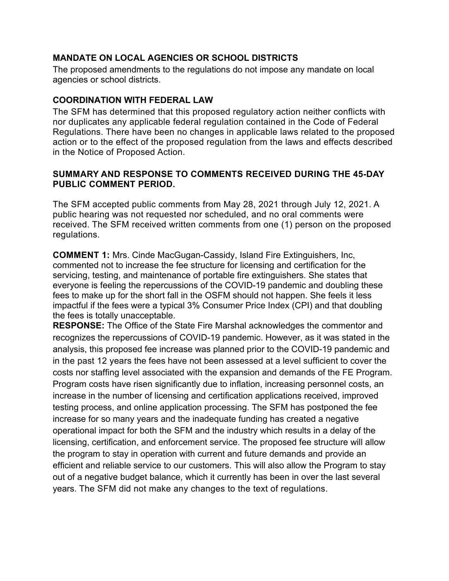## **MANDATE ON LOCAL AGENCIES OR SCHOOL DISTRICTS**

The proposed amendments to the regulations do not impose any mandate on local agencies or school districts.

## **COORDINATION WITH FEDERAL LAW**

The SFM has determined that this proposed regulatory action neither conflicts with nor duplicates any applicable federal regulation contained in the Code of Federal Regulations. There have been no changes in applicable laws related to the proposed action or to the effect of the proposed regulation from the laws and effects described in the Notice of Proposed Action.

### **SUMMARY AND RESPONSE TO COMMENTS RECEIVED DURING THE 45-DAY PUBLIC COMMENT PERIOD.**

The SFM accepted public comments from May 28, 2021 through July 12, 2021. A public hearing was not requested nor scheduled, and no oral comments were received. The SFM received written comments from one (1) person on the proposed regulations.

**COMMENT 1:** Mrs. Cinde MacGugan-Cassidy, Island Fire Extinguishers, Inc, commented not to increase the fee structure for licensing and certification for the servicing, testing, and maintenance of portable fire extinguishers. She states that everyone is feeling the repercussions of the COVID-19 pandemic and doubling these fees to make up for the short fall in the OSFM should not happen. She feels it less impactful if the fees were a typical 3% Consumer Price Index (CPI) and that doubling the fees is totally unacceptable.

 in the past 12 years the fees have not been assessed at a level sufficient to cover the **RESPONSE:** The Office of the State Fire Marshal acknowledges the commentor and recognizes the repercussions of COVID-19 pandemic. However, as it was stated in the analysis, this proposed fee increase was planned prior to the COVID-19 pandemic and costs nor staffing level associated with the expansion and demands of the FE Program. Program costs have risen significantly due to inflation, increasing personnel costs, an increase in the number of licensing and certification applications received, improved testing process, and online application processing. The SFM has postponed the fee increase for so many years and the inadequate funding has created a negative operational impact for both the SFM and the industry which results in a delay of the licensing, certification, and enforcement service. The proposed fee structure will allow the program to stay in operation with current and future demands and provide an efficient and reliable service to our customers. This will also allow the Program to stay out of a negative budget balance, which it currently has been in over the last several years. The SFM did not make any changes to the text of regulations.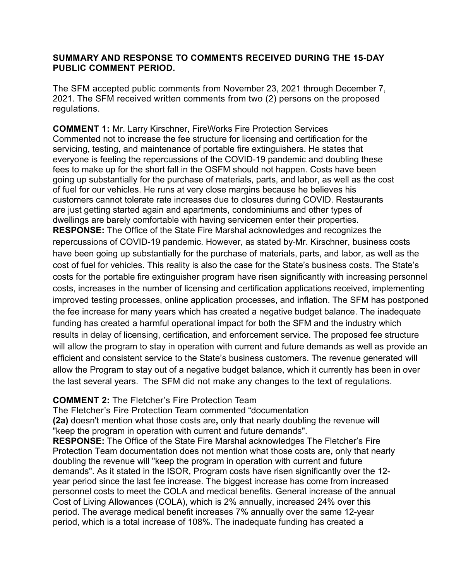### **SUMMARY AND RESPONSE TO COMMENTS RECEIVED DURING THE 15-DAY PUBLIC COMMENT PERIOD.**

The SFM accepted public comments from November 23, 2021 through December 7, 2021. The SFM received written comments from two (2) persons on the proposed regulations.

 the last several years. The SFM did not make any changes to the text of regulations. **COMMENT 1:** Mr. Larry Kirschner, FireWorks Fire Protection Services Commented not to increase the fee structure for licensing and certification for the servicing, testing, and maintenance of portable fire extinguishers. He states that everyone is feeling the repercussions of the COVID-19 pandemic and doubling these fees to make up for the short fall in the OSFM should not happen. Costs have been going up substantially for the purchase of materials, parts, and labor, as well as the cost of fuel for our vehicles. He runs at very close margins because he believes his customers cannot tolerate rate increases due to closures during COVID. Restaurants are just getting started again and apartments, condominiums and other types of dwellings are barely comfortable with having servicemen enter their properties. **RESPONSE:** The Office of the State Fire Marshal acknowledges and recognizes the repercussions of COVID-19 pandemic. However, as stated by Mr. Kirschner, business costs have been going up substantially for the purchase of materials, parts, and labor, as well as the cost of fuel for vehicles. This reality is also the case for the State's business costs. The State's costs for the portable fire extinguisher program have risen significantly with increasing personnel costs, increases in the number of licensing and certification applications received, implementing improved testing processes, online application processes, and inflation. The SFM has postponed the fee increase for many years which has created a negative budget balance. The inadequate funding has created a harmful operational impact for both the SFM and the industry which results in delay of licensing, certification, and enforcement service. The proposed fee structure will allow the program to stay in operation with current and future demands as well as provide an efficient and consistent service to the State's business customers. The revenue generated will allow the Program to stay out of a negative budget balance, which it currently has been in over

## **COMMENT 2:** The Fletcher's Fire Protection Team

The Fletcher's Fire Protection Team commented "documentation

**(2a)** doesn't mention what those costs are**,** only that nearly doubling the revenue will "keep the program in operation with current and future demands".

**RESPONSE:** The Office of the State Fire Marshal acknowledges The Fletcher's Fire Protection Team documentation does not mention what those costs are**,** only that nearly doubling the revenue will "keep the program in operation with current and future demands". As it stated in the ISOR, Program costs have risen significantly over the 12 year period since the last fee increase. The biggest increase has come from increased personnel costs to meet the COLA and medical benefits. General increase of the annual Cost of Living Allowances (COLA), which is 2% annually, increased 24% over this period. The average medical benefit increases 7% annually over the same 12-year period, which is a total increase of 108%. The inadequate funding has created a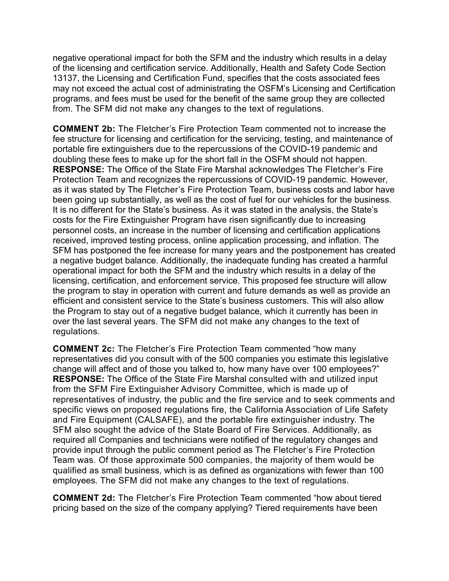negative operational impact for both the SFM and the industry which results in a delay of the licensing and certification service. Additionally, Health and Safety Code Section 13137, the Licensing and Certification Fund, specifies that the costs associated fees may not exceed the actual cost of administrating the OSFM's Licensing and Certification programs, and fees must be used for the benefit of the same group they are collected from. The SFM did not make any changes to the text of regulations.

 as it was stated by The Fletcher's Fire Protection Team, business costs and labor have over the last several years. The SFM did not make any changes to the text of **COMMENT 2b:** The Fletcher's Fire Protection Team commented not to increase the fee structure for licensing and certification for the servicing, testing, and maintenance of portable fire extinguishers due to the repercussions of the COVID-19 pandemic and doubling these fees to make up for the short fall in the OSFM should not happen. **RESPONSE:** The Office of the State Fire Marshal acknowledges The Fletcher's Fire Protection Team and recognizes the repercussions of COVID-19 pandemic. However, been going up substantially, as well as the cost of fuel for our vehicles for the business. It is no different for the State's business. As it was stated in the analysis, the State's costs for the Fire Extinguisher Program have risen significantly due to increasing personnel costs, an increase in the number of licensing and certification applications received, improved testing process, online application processing, and inflation. The SFM has postponed the fee increase for many years and the postponement has created a negative budget balance. Additionally, the inadequate funding has created a harmful operational impact for both the SFM and the industry which results in a delay of the licensing, certification, and enforcement service. This proposed fee structure will allow the program to stay in operation with current and future demands as well as provide an efficient and consistent service to the State's business customers. This will also allow the Program to stay out of a negative budget balance, which it currently has been in regulations.

 **RESPONSE:** The Office of the State Fire Marshal consulted with and utilized input SFM also sought the advice of the State Board of Fire Services. Additionally, as qualified as small business, which is as defined as organizations with fewer than 100 **COMMENT 2c:** The Fletcher's Fire Protection Team commented "how many representatives did you consult with of the 500 companies you estimate this legislative change will affect and of those you talked to, how many have over 100 employees?" from the SFM Fire Extinguisher Advisory Committee, which is made up of representatives of industry, the public and the fire service and to seek comments and specific views on proposed regulations fire, the California Association of Life Safety and Fire Equipment (CALSAFE), and the portable fire extinguisher industry. The required all Companies and technicians were notified of the regulatory changes and provide input through the public comment period as The Fletcher's Fire Protection Team was. Of those approximate 500 companies, the majority of them would be employees. The SFM did not make any changes to the text of regulations.

**COMMENT 2d:** The Fletcher's Fire Protection Team commented "how about tiered pricing based on the size of the company applying? Tiered requirements have been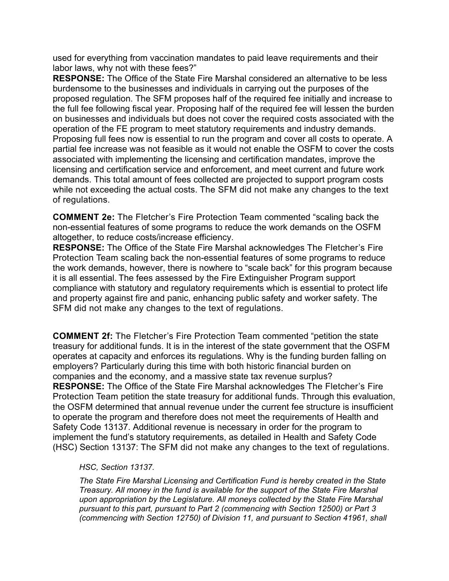used for everything from vaccination mandates to paid leave requirements and their labor laws, why not with these fees?"

**RESPONSE:** The Office of the State Fire Marshal considered an alternative to be less burdensome to the businesses and individuals in carrying out the purposes of the proposed regulation. The SFM proposes half of the required fee initially and increase to the full fee following fiscal year. Proposing half of the required fee will lessen the burden on businesses and individuals but does not cover the required costs associated with the operation of the FE program to meet statutory requirements and industry demands. Proposing full fees now is essential to run the program and cover all costs to operate. A partial fee increase was not feasible as it would not enable the OSFM to cover the costs associated with implementing the licensing and certification mandates, improve the licensing and certification service and enforcement, and meet current and future work demands. This total amount of fees collected are projected to support program costs while not exceeding the actual costs. The SFM did not make any changes to the text of regulations.

**COMMENT 2e:** The Fletcher's Fire Protection Team commented "scaling back the non-essential features of some programs to reduce the work demands on the OSFM altogether, to reduce costs/increase efficiency.

**RESPONSE:** The Office of the State Fire Marshal acknowledges The Fletcher's Fire Protection Team scaling back the non-essential features of some programs to reduce the work demands, however, there is nowhere to "scale back" for this program because it is all essential. The fees assessed by the Fire Extinguisher Program support compliance with statutory and regulatory requirements which is essential to protect life and property against fire and panic, enhancing public safety and worker safety. The SFM did not make any changes to the text of regulations.

**COMMENT 2f:** The Fletcher's Fire Protection Team commented "petition the state treasury for additional funds. It is in the interest of the state government that the OSFM operates at capacity and enforces its regulations. Why is the funding burden falling on employers? Particularly during this time with both historic financial burden on companies and the economy, and a massive state tax revenue surplus? **RESPONSE:** The Office of the State Fire Marshal acknowledges The Fletcher's Fire Protection Team petition the state treasury for additional funds. Through this evaluation, the OSFM determined that annual revenue under the current fee structure is insufficient to operate the program and therefore does not meet the requirements of Health and Safety Code 13137. Additional revenue is necessary in order for the program to implement the fund's statutory requirements, as detailed in Health and Safety Code (HSC) Section 13137: The SFM did not make any changes to the text of regulations.

**HSC, Section 13137.** 

*HSC, Section 13137. The State Fire Marshal Licensing and Certification Fund is hereby created in the State Treasury. All money in the fund is available for the support of the State Fire Marshal upon appropriation by the Legislature. All moneys collected by the State Fire Marshal pursuant to this part, pursuant to Part 2 (commencing with Section 12500) or Part 3 (commencing with Section 12750) of Division 11, and pursuant to Section 41961, shall*